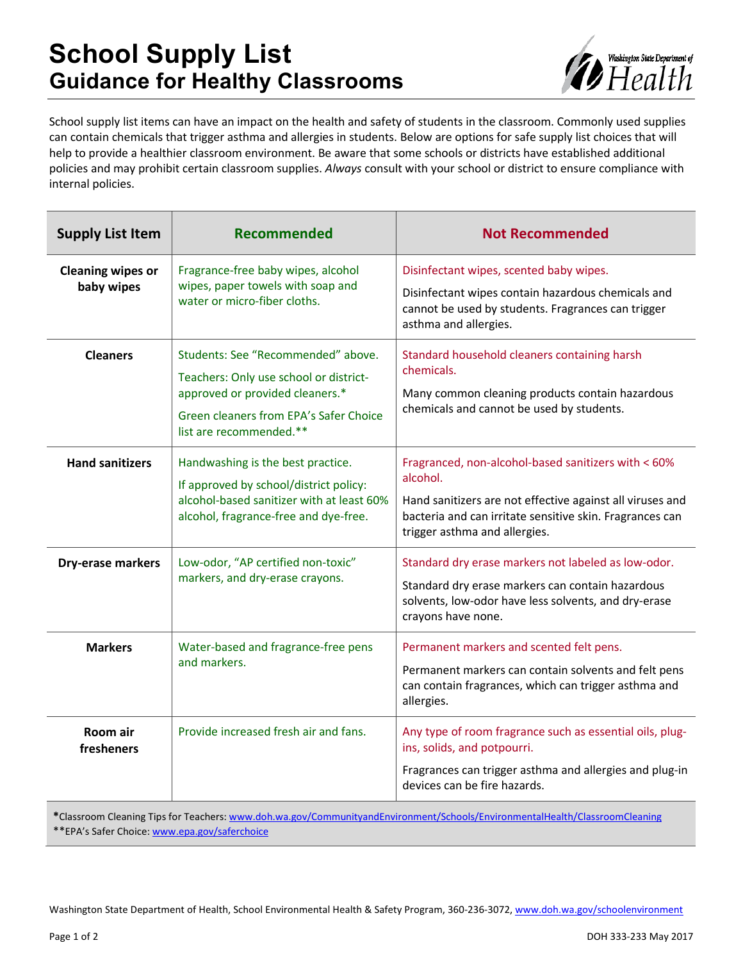# **School Supply List Guidance for Healthy Classrooms**



School supply list items can have an impact on the health and safety of students in the classroom. Commonly used supplies can contain chemicals that trigger asthma and allergies in students. Below are options for safe supply list choices that will help to provide a healthier classroom environment. Be aware that some schools or districts have established additional policies and may prohibit certain classroom supplies. *Always* consult with your school or district to ensure compliance with internal policies.

| <b>Supply List Item</b>                | Recommended                                                                                                                                                                          | <b>Not Recommended</b>                                                                                                                                                                                                    |
|----------------------------------------|--------------------------------------------------------------------------------------------------------------------------------------------------------------------------------------|---------------------------------------------------------------------------------------------------------------------------------------------------------------------------------------------------------------------------|
| <b>Cleaning wipes or</b><br>baby wipes | Fragrance-free baby wipes, alcohol<br>wipes, paper towels with soap and<br>water or micro-fiber cloths.                                                                              | Disinfectant wipes, scented baby wipes.<br>Disinfectant wipes contain hazardous chemicals and<br>cannot be used by students. Fragrances can trigger<br>asthma and allergies.                                              |
| <b>Cleaners</b>                        | Students: See "Recommended" above.<br>Teachers: Only use school or district-<br>approved or provided cleaners.*<br>Green cleaners from EPA's Safer Choice<br>list are recommended.** | Standard household cleaners containing harsh<br>chemicals.<br>Many common cleaning products contain hazardous<br>chemicals and cannot be used by students.                                                                |
| <b>Hand sanitizers</b>                 | Handwashing is the best practice.<br>If approved by school/district policy:<br>alcohol-based sanitizer with at least 60%<br>alcohol, fragrance-free and dye-free.                    | Fragranced, non-alcohol-based sanitizers with < 60%<br>alcohol.<br>Hand sanitizers are not effective against all viruses and<br>bacteria and can irritate sensitive skin. Fragrances can<br>trigger asthma and allergies. |
| Dry-erase markers                      | Low-odor, "AP certified non-toxic"<br>markers, and dry-erase crayons.                                                                                                                | Standard dry erase markers not labeled as low-odor.<br>Standard dry erase markers can contain hazardous<br>solvents, low-odor have less solvents, and dry-erase<br>crayons have none.                                     |
| <b>Markers</b>                         | Water-based and fragrance-free pens<br>and markers.                                                                                                                                  | Permanent markers and scented felt pens.<br>Permanent markers can contain solvents and felt pens<br>can contain fragrances, which can trigger asthma and<br>allergies.                                                    |
| Room air<br>fresheners                 | Provide increased fresh air and fans.                                                                                                                                                | Any type of room fragrance such as essential oils, plug-<br>ins, solids, and potpourri.<br>Fragrances can trigger asthma and allergies and plug-in<br>devices can be fire hazards.                                        |

**\***Classroom Cleaning Tips for Teachers: [www.doh.wa.gov/CommunityandEnvironment/Schools/EnvironmentalHealth/ClassroomCleaning](http://www.doh.wa.gov/CommunityandEnvironment/Schools/EnvironmentalHealth/ClassroomCleaning)

\*\*EPA's Safer Choice: [www.epa.gov/saferchoice](http://www.epa.gov/saferchoice)

Washington State Department of Health, School Environmental Health & Safety Program, 360-236-3072[, www.doh.wa.gov/schoolenvironment](http://www.doh.wa.gov/schoolenvironment)